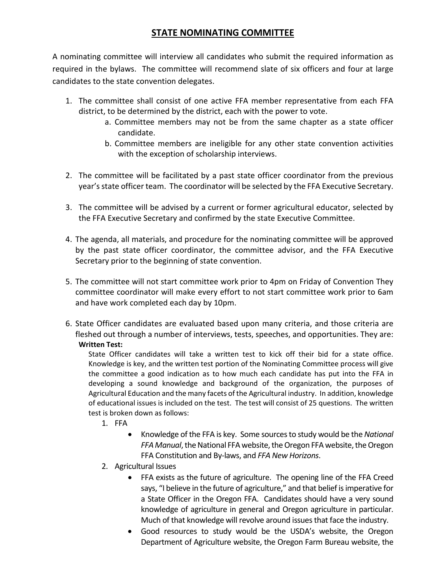# **STATE NOMINATING COMMITTEE**

A nominating committee will interview all candidates who submit the required information as required in the bylaws. The committee will recommend slate of six officers and four at large candidates to the state convention delegates.

- 1. The committee shall consist of one active FFA member representative from each FFA district, to be determined by the district, each with the power to vote.
	- a. Committee members may not be from the same chapter as a state officer candidate.
	- b. Committee members are ineligible for any other state convention activities with the exception of scholarship interviews.
- 2. The committee will be facilitated by a past state officer coordinator from the previous year's state officer team. The coordinator will be selected by the FFA Executive Secretary.
- 3. The committee will be advised by a current or former agricultural educator, selected by the FFA Executive Secretary and confirmed by the state Executive Committee.
- 4. The agenda, all materials, and procedure for the nominating committee will be approved by the past state officer coordinator, the committee advisor, and the FFA Executive Secretary prior to the beginning of state convention.
- 5. The committee will not start committee work prior to 4pm on Friday of Convention They committee coordinator will make every effort to not start committee work prior to 6am and have work completed each day by 10pm.
- 6. State Officer candidates are evaluated based upon many criteria, and those criteria are fleshed out through a number of interviews, tests, speeches, and opportunities. They are: **Written Test:**

State Officer candidates will take a written test to kick off their bid for a state office. Knowledge is key, and the written test portion of the Nominating Committee process will give the committee a good indication as to how much each candidate has put into the FFA in developing a sound knowledge and background of the organization, the purposes of Agricultural Education and the many facets of the Agricultural industry. In addition, knowledge of educational issues is included on the test. The test will consist of 25 questions. The written test is broken down as follows:

- 1. FFA
	- Knowledge of the FFA is key. Some sources to study would be the *National FFA Manual*, the National FFA website, the Oregon FFA website, the Oregon FFA Constitution and By-laws, and *FFA New Horizons*.
- 2. Agricultural Issues
	- FFA exists as the future of agriculture. The opening line of the FFA Creed says, "I believe in the future of agriculture," and that belief is imperative for a State Officer in the Oregon FFA. Candidates should have a very sound knowledge of agriculture in general and Oregon agriculture in particular. Much of that knowledge will revolve around issues that face the industry.
	- Good resources to study would be the USDA's website, the Oregon Department of Agriculture website, the Oregon Farm Bureau website, the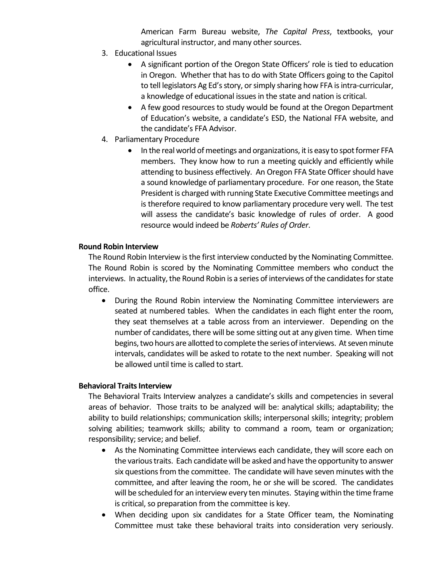American Farm Bureau website, *The Capital Press*, textbooks, your agricultural instructor, and many other sources.

- 3. Educational Issues
	- A significant portion of the Oregon State Officers' role is tied to education in Oregon. Whether that has to do with State Officers going to the Capitol to tell legislators Ag Ed's story, or simply sharing how FFA is intra-curricular, a knowledge of educational issues in the state and nation is critical.
	- A few good resources to study would be found at the Oregon Department of Education's website, a candidate's ESD, the National FFA website, and the candidate's FFA Advisor.
- 4. Parliamentary Procedure
	- In the real world of meetings and organizations, it is easy to spot former FFA members. They know how to run a meeting quickly and efficiently while attending to business effectively. An Oregon FFA State Officer should have a sound knowledge of parliamentary procedure. For one reason, the State President is charged with running State Executive Committee meetings and is therefore required to know parliamentary procedure very well. The test will assess the candidate's basic knowledge of rules of order. A good resource would indeed be *Roberts' Rules of Order*.

#### **Round Robin Interview**

The Round Robin Interview is the first interview conducted by the Nominating Committee. The Round Robin is scored by the Nominating Committee members who conduct the interviews. In actuality, the Round Robin is a series of interviews of the candidates for state office.

• During the Round Robin interview the Nominating Committee interviewers are seated at numbered tables. When the candidates in each flight enter the room, they seat themselves at a table across from an interviewer. Depending on the number of candidates, there will be some sitting out at any given time. When time begins, two hours are allotted to complete the series of interviews. At seven minute intervals, candidates will be asked to rotate to the next number. Speaking will not be allowed until time is called to start.

# **Behavioral Traits Interview**

The Behavioral Traits Interview analyzes a candidate's skills and competencies in several areas of behavior. Those traits to be analyzed will be: analytical skills; adaptability; the ability to build relationships; communication skills; interpersonal skills; integrity; problem solving abilities; teamwork skills; ability to command a room, team or organization; responsibility; service; and belief.

- As the Nominating Committee interviews each candidate, they will score each on the various traits. Each candidate will be asked and have the opportunity to answer six questions from the committee. The candidate will have seven minutes with the committee, and after leaving the room, he or she will be scored. The candidates will be scheduled for an interview every ten minutes. Staying within the time frame is critical, so preparation from the committee is key.
- When deciding upon six candidates for a State Officer team, the Nominating Committee must take these behavioral traits into consideration very seriously.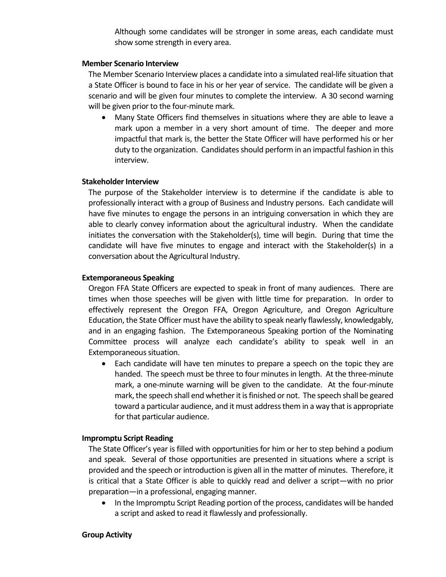Although some candidates will be stronger in some areas, each candidate must show some strength in every area.

#### **Member Scenario Interview**

The Member Scenario Interview places a candidate into a simulated real-life situation that a State Officer is bound to face in his or her year of service. The candidate will be given a scenario and will be given four minutes to complete the interview. A 30 second warning will be given prior to the four-minute mark.

• Many State Officers find themselves in situations where they are able to leave a mark upon a member in a very short amount of time. The deeper and more impactful that mark is, the better the State Officer will have performed his or her duty to the organization. Candidates should perform in an impactful fashion in this interview.

#### **Stakeholder Interview**

The purpose of the Stakeholder interview is to determine if the candidate is able to professionally interact with a group of Business and Industry persons. Each candidate will have five minutes to engage the persons in an intriguing conversation in which they are able to clearly convey information about the agricultural industry. When the candidate initiates the conversation with the Stakeholder(s), time will begin. During that time the candidate will have five minutes to engage and interact with the Stakeholder(s) in a conversation about the Agricultural Industry.

#### **Extemporaneous Speaking**

Oregon FFA State Officers are expected to speak in front of many audiences. There are times when those speeches will be given with little time for preparation. In order to effectively represent the Oregon FFA, Oregon Agriculture, and Oregon Agriculture Education, the State Officer must have the ability to speak nearly flawlessly, knowledgably, and in an engaging fashion. The Extemporaneous Speaking portion of the Nominating Committee process will analyze each candidate's ability to speak well in an Extemporaneous situation.

• Each candidate will have ten minutes to prepare a speech on the topic they are handed. The speech must be three to four minutes in length. At the three-minute mark, a one-minute warning will be given to the candidate. At the four-minute mark, the speech shall end whether it is finished or not. The speech shall be geared toward a particular audience, and it must address them in a way that is appropriate for that particular audience.

# **Impromptu Script Reading**

The State Officer's year is filled with opportunities for him or her to step behind a podium and speak. Several of those opportunities are presented in situations where a script is provided and the speech or introduction is given all in the matter of minutes. Therefore, it is critical that a State Officer is able to quickly read and deliver a script—with no prior preparation—in a professional, engaging manner.

• In the Impromptu Script Reading portion of the process, candidates will be handed a script and asked to read it flawlessly and professionally.

#### **Group Activity**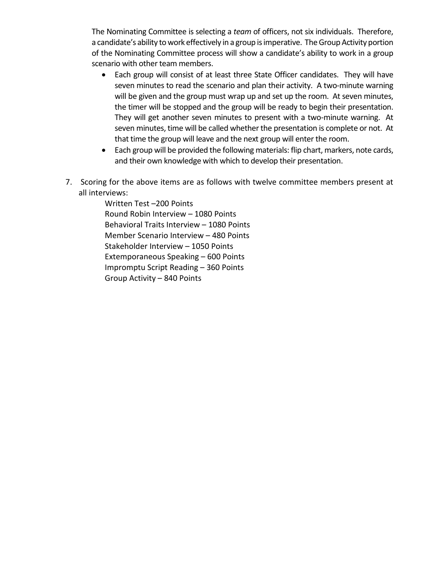The Nominating Committee is selecting a *team* of officers, not six individuals. Therefore, a candidate's ability to work effectively in a group is imperative. The Group Activity portion of the Nominating Committee process will show a candidate's ability to work in a group scenario with other team members.

- Each group will consist of at least three State Officer candidates. They will have seven minutes to read the scenario and plan their activity. A two-minute warning will be given and the group must wrap up and set up the room. At seven minutes, the timer will be stopped and the group will be ready to begin their presentation. They will get another seven minutes to present with a two-minute warning. At seven minutes, time will be called whether the presentation is complete or not. At that time the group will leave and the next group will enter the room.
- Each group will be provided the following materials: flip chart, markers, note cards, and their own knowledge with which to develop their presentation.
- 7. Scoring for the above items are as follows with twelve committee members present at all interviews:

Written Test –200 Points Round Robin Interview – 1080 Points Behavioral Traits Interview – 1080 Points Member Scenario Interview – 480 Points Stakeholder Interview – 1050 Points Extemporaneous Speaking – 600 Points Impromptu Script Reading – 360 Points Group Activity – 840 Points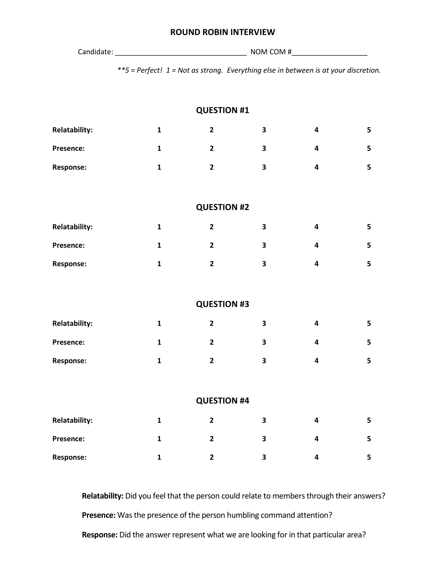#### **ROUND ROBIN INTERVIEW**

Candidate: \_\_\_\_\_\_\_\_\_\_\_\_\_\_\_\_\_\_\_\_\_\_\_\_\_\_\_\_\_\_\_\_\_ NOM COM #\_\_\_\_\_\_\_\_\_\_\_\_\_\_\_\_\_\_\_

*\*\*5 = Perfect! 1 = Not as strong. Everything else in between is at your discretion.*

|                      |              | <b>QUESTION #1</b> |                         |                         |   |
|----------------------|--------------|--------------------|-------------------------|-------------------------|---|
| <b>Relatability:</b> | $\mathbf{1}$ | $\mathbf{2}$       | $\overline{\mathbf{3}}$ | $\overline{\mathbf{4}}$ | 5 |
| Presence:            | $\mathbf{1}$ | $\overline{2}$     | $\overline{\mathbf{3}}$ | $\overline{\mathbf{4}}$ | 5 |
| <b>Response:</b>     | $\mathbf{1}$ | $\overline{2}$     | $\overline{\mathbf{3}}$ | $\overline{\mathbf{4}}$ | 5 |
|                      |              |                    |                         |                         |   |
|                      |              | <b>QUESTION #2</b> |                         |                         |   |
| <b>Relatability:</b> | $\mathbf{1}$ | $\mathbf{2}$       | $\overline{\mathbf{3}}$ | $\overline{\mathbf{4}}$ | 5 |
| Presence:            | $\mathbf{1}$ | $\overline{2}$     | $\overline{\mathbf{3}}$ | $\overline{\mathbf{4}}$ | 5 |
| <b>Response:</b>     | $\mathbf{1}$ | $\overline{2}$     | 3                       | $\overline{\mathbf{4}}$ | 5 |
|                      |              |                    |                         |                         |   |
|                      |              | <b>QUESTION #3</b> |                         |                         |   |
| <b>Relatability:</b> | $\mathbf{1}$ | $\overline{2}$     | 3                       | $\overline{\mathbf{4}}$ | 5 |
| Presence:            | $\mathbf{1}$ | $\overline{2}$     | 3                       | $\overline{\mathbf{4}}$ | 5 |
| <b>Response:</b>     | $\mathbf{1}$ | $\overline{2}$     | $\overline{\mathbf{3}}$ | $\overline{\mathbf{4}}$ | 5 |
|                      |              |                    |                         |                         |   |
|                      |              | <b>QUESTION #4</b> |                         |                         |   |
| <b>Relatability:</b> | $\mathbf{1}$ | $\overline{2}$     | $\overline{\mathbf{3}}$ | $\overline{\mathbf{4}}$ | 5 |
| Presence:            | $\mathbf{1}$ | $\mathbf{2}$       | $\overline{\mathbf{3}}$ | 4                       | 5 |
| <b>Response:</b>     | $\mathbf{1}$ | $\overline{2}$     | 3                       | $\overline{\mathbf{4}}$ | 5 |

**Relatability:** Did you feel that the person could relate to members through their answers? **Presence:** Was the presence of the person humbling command attention? **Response:** Did the answer represent what we are looking for in that particular area?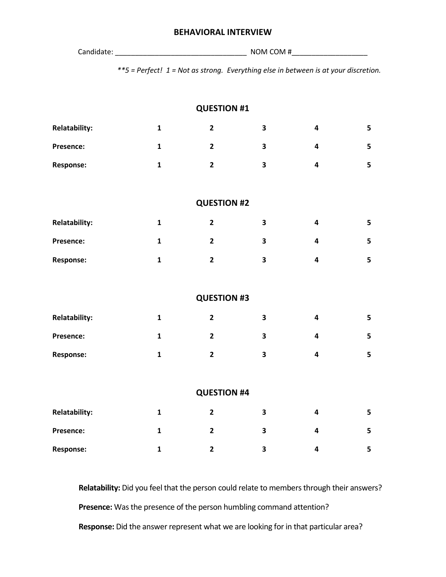# **BEHAVIORAL INTERVIEW**

| Candidate: | NOM COM# |
|------------|----------|
|            |          |

*\*\*5 = Perfect! 1 = Not as strong. Everything else in between is at your discretion.*

|                      |              | <b>QUESTION #1</b> |                         |                         |   |
|----------------------|--------------|--------------------|-------------------------|-------------------------|---|
| <b>Relatability:</b> | $\mathbf{1}$ | $\overline{2}$     | $\overline{\mathbf{3}}$ | $\overline{\mathbf{4}}$ | 5 |
| Presence:            | $\mathbf{1}$ | $\mathbf{2}$       | 3                       | 4                       | 5 |
| <b>Response:</b>     | $\mathbf{1}$ | $\overline{2}$     | $\overline{\mathbf{3}}$ | $\overline{\mathbf{4}}$ | 5 |
|                      |              |                    |                         |                         |   |
|                      |              | <b>QUESTION #2</b> |                         |                         |   |
| <b>Relatability:</b> | $\mathbf{1}$ | $\overline{2}$     | $\overline{\mathbf{3}}$ | $\overline{\mathbf{4}}$ | 5 |
| Presence:            | $\mathbf{1}$ | $\overline{2}$     | 3                       | 4                       | 5 |
| <b>Response:</b>     | $\mathbf{1}$ | $\overline{2}$     | $\overline{\mathbf{3}}$ | $\overline{\mathbf{4}}$ | 5 |
|                      |              |                    |                         |                         |   |
|                      |              | <b>QUESTION #3</b> |                         |                         |   |
| <b>Relatability:</b> | $\mathbf{1}$ | $\overline{2}$     | 3                       | 4                       | 5 |
| Presence:            | $\mathbf{1}$ | $\overline{2}$     | $\overline{\mathbf{3}}$ | $\overline{\mathbf{4}}$ | 5 |
| <b>Response:</b>     | $\mathbf{1}$ | $\overline{2}$     | $\overline{\mathbf{3}}$ | 4                       | 5 |
|                      |              |                    |                         |                         |   |
|                      |              | <b>QUESTION #4</b> |                         |                         |   |
| <b>Relatability:</b> | $\mathbf{1}$ | $\overline{2}$     | 3                       | $\overline{\mathbf{4}}$ | 5 |
| Presence:            | $\mathbf{1}$ | $\overline{2}$     | $\overline{\mathbf{3}}$ | $\overline{\mathbf{4}}$ | 5 |
| <b>Response:</b>     | $\mathbf{1}$ | $\overline{2}$     | $\overline{\mathbf{3}}$ | 4                       | 5 |

**Relatability:** Did you feel that the person could relate to members through their answers? **Presence:** Was the presence of the person humbling command attention? **Response:** Did the answer represent what we are looking for in that particular area?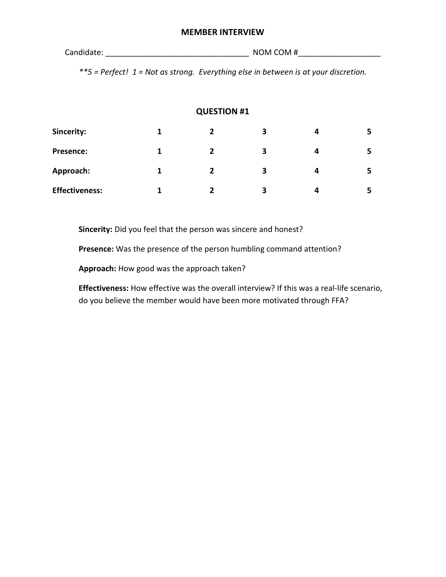#### **MEMBER INTERVIEW**

Candidate: example and the community of  $\mathsf{NOM}$  COM  $\sharp$ 

*\*\*5 = Perfect! 1 = Not as strong. Everything else in between is at your discretion.*

# **QUESTION #1**

| Sincerity:            | 2 | 3 | 4 | 5  |
|-----------------------|---|---|---|----|
| <b>Presence:</b>      |   | 3 | Δ | 5. |
| Approach:             |   | 3 | 4 | 5  |
| <b>Effectiveness:</b> | י | 3 | Δ | 5  |

**Sincerity:** Did you feel that the person was sincere and honest?

**Presence:** Was the presence of the person humbling command attention?

**Approach:** How good was the approach taken?

**Effectiveness:** How effective was the overall interview? If this was a real-life scenario, do you believe the member would have been more motivated through FFA?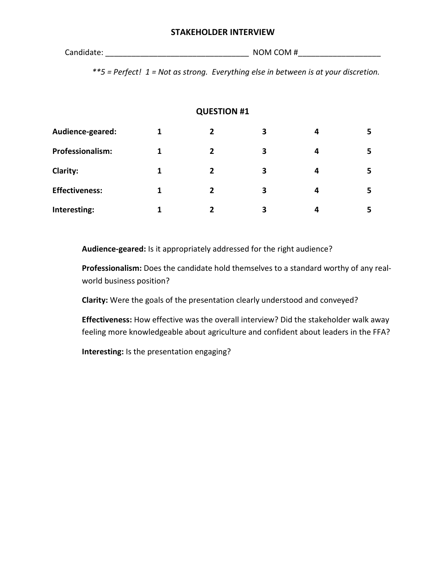### **STAKEHOLDER INTERVIEW**

Candidate: example and the control of the NOM COM  $\#$ 

*\*\*5 = Perfect! 1 = Not as strong. Everything else in between is at your discretion.*

# **QUESTION #1**

| Audience-geared:      | $\overline{2}$ | 3 | 4 | 5. |
|-----------------------|----------------|---|---|----|
| Professionalism:      | 2              | 3 | 4 | 5. |
| <b>Clarity:</b>       | 2              | 3 | 4 | 5. |
| <b>Effectiveness:</b> | 2              | 3 | 4 | 5. |
| Interesting:          |                | 3 |   | 5. |

**Audience-geared:** Is it appropriately addressed for the right audience?

**Professionalism:** Does the candidate hold themselves to a standard worthy of any realworld business position?

**Clarity:** Were the goals of the presentation clearly understood and conveyed?

**Effectiveness:** How effective was the overall interview? Did the stakeholder walk away feeling more knowledgeable about agriculture and confident about leaders in the FFA?

**Interesting:** Is the presentation engaging?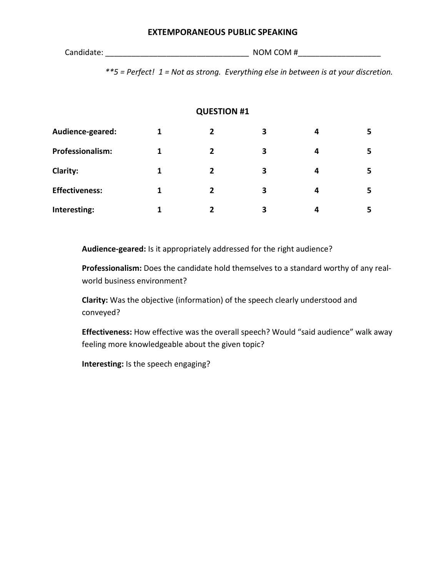# **EXTEMPORANEOUS PUBLIC SPEAKING**

Candidate: example and the community of  $\mathsf{NOM}$  COM  $\#$ 

*\*\*5 = Perfect! 1 = Not as strong. Everything else in between is at your discretion.*

# **QUESTION #1**

| Audience-geared:        |   |   | 3 | 4 | 5. |
|-------------------------|---|---|---|---|----|
| <b>Professionalism:</b> | 1 | 2 | 3 | 4 | 5. |
| <b>Clarity:</b>         | 1 | 2 | 3 | 4 | 5. |
| <b>Effectiveness:</b>   | 1 | 2 | 3 | 4 | 5. |
| Interesting:            |   |   | 3 | Δ |    |

**Audience-geared:** Is it appropriately addressed for the right audience?

**Professionalism:** Does the candidate hold themselves to a standard worthy of any realworld business environment?

**Clarity:** Was the objective (information) of the speech clearly understood and conveyed?

**Effectiveness:** How effective was the overall speech? Would "said audience" walk away feeling more knowledgeable about the given topic?

**Interesting:** Is the speech engaging?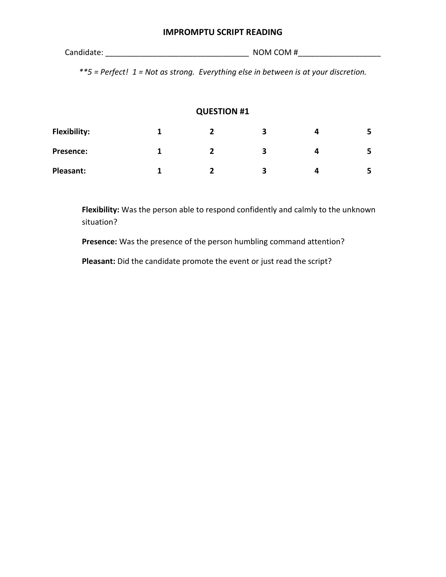## **IMPROMPTU SCRIPT READING**

Candidate: example and the community of  $\mathsf{NOM}$  COM  $\#$ 

*\*\*5 = Perfect! 1 = Not as strong. Everything else in between is at your discretion.*

# **QUESTION #1**

| <b>Flexibility:</b> |  |   |   |
|---------------------|--|---|---|
| <b>Presence:</b>    |  | з |   |
| Pleasant:           |  | ર | - |

**Flexibility:** Was the person able to respond confidently and calmly to the unknown situation?

**Presence:** Was the presence of the person humbling command attention?

**Pleasant:** Did the candidate promote the event or just read the script?